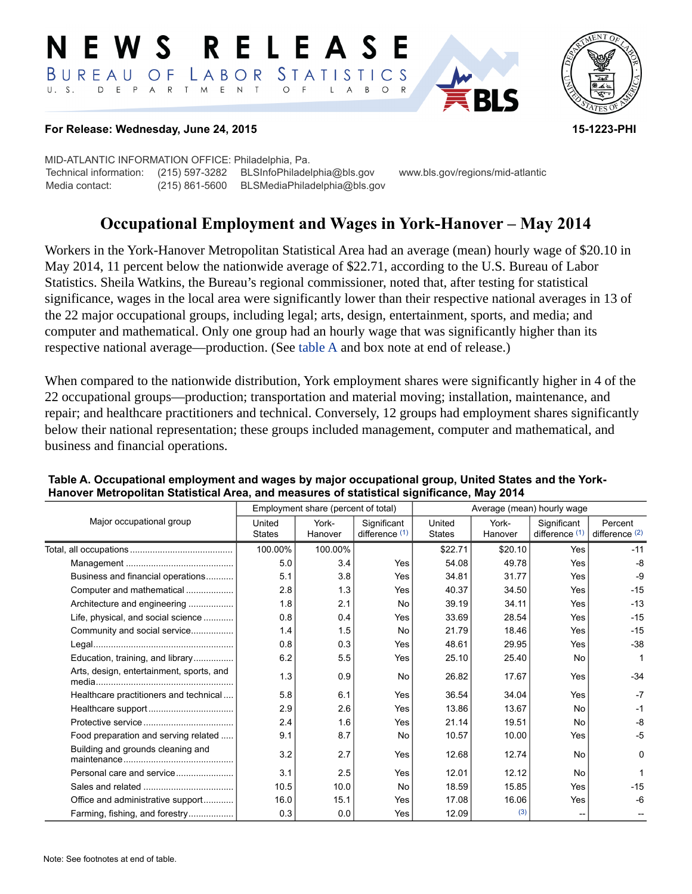#### RELEASE E W S LABOR STATISTICS BUREAU OF D E P A R T M E N T  $\circ$  $U. S.$  $F$  $\mathsf{L}$  $\overline{A}$ B  $\circ$



## **For Release: Wednesday, June 24, 2015 15-1223-PHI**

MID-ATLANTIC INFORMATION OFFICE: Philadelphia, Pa. Technical information: (215) 597-3282 BLSInfoPhiladelphia@bls.gov www.bls.gov/regions/mid-atlantic Media contact: (215) 861-5600 BLSMediaPhiladelphia@bls.gov

# **Occupational Employment and Wages in York-Hanover – May 2014**

Workers in the York-Hanover Metropolitan Statistical Area had an average (mean) hourly wage of \$20.10 in May 2014, 11 percent below the nationwide average of \$22.71, according to the U.S. Bureau of Labor Statistics. Sheila Watkins, the Bureau's regional commissioner, noted that, after testing for statistical significance, wages in the local area were significantly lower than their respective national averages in 13 of the 22 major occupational groups, including legal; arts, design, entertainment, sports, and media; and computer and mathematical. Only one group had an hourly wage that was significantly higher than its respective national average—production. (See [table A](#page-0-0) and box note at end of release.)

When compared to the nationwide distribution, York employment shares were significantly higher in 4 of the 22 occupational groups—production; transportation and material moving; installation, maintenance, and repair; and healthcare practitioners and technical. Conversely, 12 groups had employment shares significantly below their national representation; these groups included management, computer and mathematical, and business and financial operations.

|                                          | Employment share (percent of total) |                  |                                 | Average (mean) hourly wage |                  |                               |                             |
|------------------------------------------|-------------------------------------|------------------|---------------------------------|----------------------------|------------------|-------------------------------|-----------------------------|
| Major occupational group                 | United<br><b>States</b>             | York-<br>Hanover | Significant<br>difference $(1)$ | United<br><b>States</b>    | York-<br>Hanover | Significant<br>difference (1) | Percent<br>difference $(2)$ |
|                                          | 100.00%                             | 100.00%          |                                 | \$22.71                    | \$20.10          | Yes                           | $-11$                       |
|                                          | 5.0                                 | 3.4              | Yes                             | 54.08                      | 49.78            | Yes                           | $-8$                        |
| Business and financial operations        | 5.1                                 | 3.8              | Yes                             | 34.81                      | 31.77            | Yes                           | $-9$                        |
| Computer and mathematical                | 2.8                                 | 1.3              | Yes                             | 40.37                      | 34.50            | Yes                           | $-15$                       |
| Architecture and engineering             | 1.8                                 | 2.1              | No                              | 39.19                      | 34.11            | Yes                           | $-13$                       |
| Life, physical, and social science       | 0.8                                 | 0.4              | Yes                             | 33.69                      | 28.54            | Yes                           | $-15$                       |
| Community and social service             | 1.4                                 | 1.5              | No                              | 21.79                      | 18.46            | Yes                           | $-15$                       |
|                                          | 0.8                                 | 0.3              | Yes                             | 48.61                      | 29.95            | Yes                           | $-38$                       |
| Education, training, and library         | 6.2                                 | 5.5              | Yes                             | 25.10                      | 25.40            | No                            |                             |
| Arts, design, entertainment, sports, and | 1.3                                 | 0.9              | No                              | 26.82                      | 17.67            | Yes                           | $-34$                       |
| Healthcare practitioners and technical   | 5.8                                 | 6.1              | Yes                             | 36.54                      | 34.04            | Yes                           | $-7$                        |
|                                          | 2.9                                 | 2.6              | Yes                             | 13.86                      | 13.67            | No                            | $-1$                        |
|                                          | 2.4                                 | 1.6              | Yes                             | 21.14                      | 19.51            | No                            | $-8$                        |
| Food preparation and serving related     | 9.1                                 | 8.7              | No                              | 10.57                      | 10.00            | Yes                           | $-5$                        |
| Building and grounds cleaning and        | 3.2                                 | 2.7              | Yes                             | 12.68                      | 12.74            | No                            | $\Omega$                    |
| Personal care and service                | 3.1                                 | 2.5              | Yes                             | 12.01                      | 12.12            | No                            |                             |
|                                          | 10.5                                | 10.0             | No                              | 18.59                      | 15.85            | Yes                           | $-15$                       |
| Office and administrative support        | 16.0                                | 15.1             | Yes                             | 17.08                      | 16.06            | Yes                           | $-6$                        |
| Farming, fishing, and forestry           | 0.3                                 | 0.0              | Yes                             | 12.09                      | (3)              | $\overline{\phantom{a}}$      |                             |

## <span id="page-0-0"></span>**Table A. Occupational employment and wages by major occupational group, United States and the York-Hanover Metropolitan Statistical Area, and measures of statistical significance, May 2014**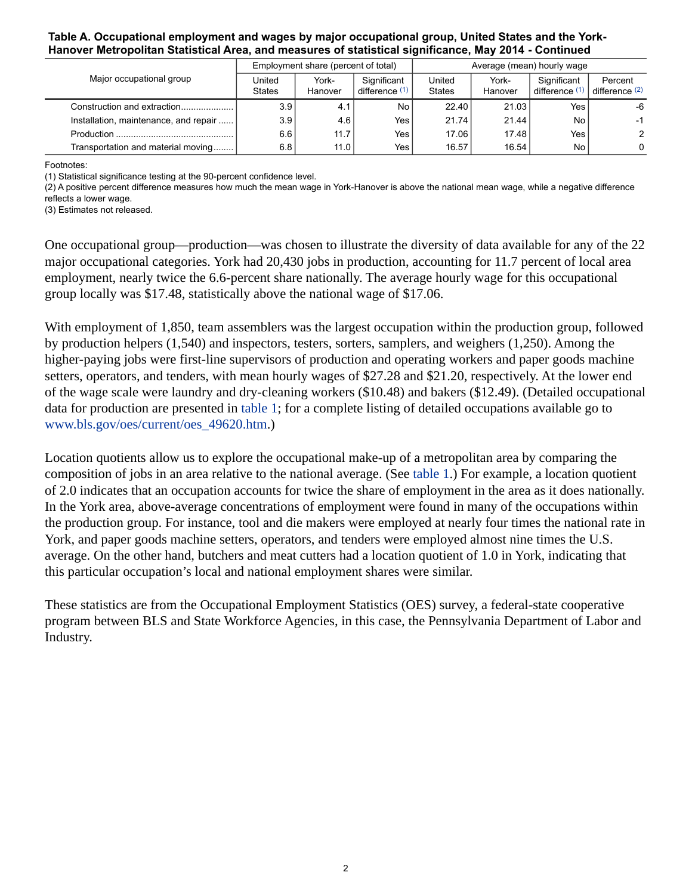## **Table A. Occupational employment and wages by major occupational group, United States and the York-Hanover Metropolitan Statistical Area, and measures of statistical significance, May 2014 - Continued**

|                                       | Employment share (percent of total) |                  |                               | Average (mean) hourly wage |                  |                               |                                      |
|---------------------------------------|-------------------------------------|------------------|-------------------------------|----------------------------|------------------|-------------------------------|--------------------------------------|
| Major occupational group              | United<br><b>States</b>             | York-<br>Hanover | Significant<br>difference (1) | United<br><b>States</b>    | York-<br>Hanover | Significant<br>difference (1) | Percent<br>difference <sup>(2)</sup> |
| Construction and extraction           | 3.9                                 | 4.1              | No                            | 22.40                      | 21.03            | Yes                           | -6                                   |
| Installation, maintenance, and repair | 3.9                                 | 4.6              | Yes                           | 21.74                      | 21.44            | No                            | $-1$                                 |
| Production                            | 6.6                                 | 11.7             | Yes                           | 17.06                      | 17.48            | Yes                           | 2                                    |
| Transportation and material moving    | 6.8                                 | 11.0             | Yes,                          | 16.57                      | 16.54            | No                            | $\Omega$                             |

<span id="page-1-0"></span>Footnotes:

(1) Statistical significance testing at the 90-percent confidence level.

(2) A positive percent difference measures how much the mean wage in York-Hanover is above the national mean wage, while a negative difference reflects a lower wage.

(3) Estimates not released.

One occupational group—production—was chosen to illustrate the diversity of data available for any of the 22 major occupational categories. York had 20,430 jobs in production, accounting for 11.7 percent of local area employment, nearly twice the 6.6-percent share nationally. The average hourly wage for this occupational group locally was \$17.48, statistically above the national wage of \$17.06.

With employment of 1,850, team assemblers was the largest occupation within the production group, followed by production helpers (1,540) and inspectors, testers, sorters, samplers, and weighers (1,250). Among the higher-paying jobs were first-line supervisors of production and operating workers and paper goods machine setters, operators, and tenders, with mean hourly wages of \$27.28 and \$21.20, respectively. At the lower end of the wage scale were laundry and dry-cleaning workers (\$10.48) and bakers (\$12.49). (Detailed occupational data for production are presented in table 1; for a complete listing of detailed occupations available go to [www.bls.gov/oes/current/oes\\_49620.htm](https://www.bls.gov/oes/current/oes_49620.htm).)

Location quotients allow us to explore the occupational make-up of a metropolitan area by comparing the composition of jobs in an area relative to the national average. (See table 1.) For example, a location quotient of 2.0 indicates that an occupation accounts for twice the share of employment in the area as it does nationally. In the York area, above-average concentrations of employment were found in many of the occupations within the production group. For instance, tool and die makers were employed at nearly four times the national rate in York, and paper goods machine setters, operators, and tenders were employed almost nine times the U.S. average. On the other hand, butchers and meat cutters had a location quotient of 1.0 in York, indicating that this particular occupation's local and national employment shares were similar.

These statistics are from the Occupational Employment Statistics (OES) survey, a federal-state cooperative program between BLS and State Workforce Agencies, in this case, the Pennsylvania Department of Labor and Industry.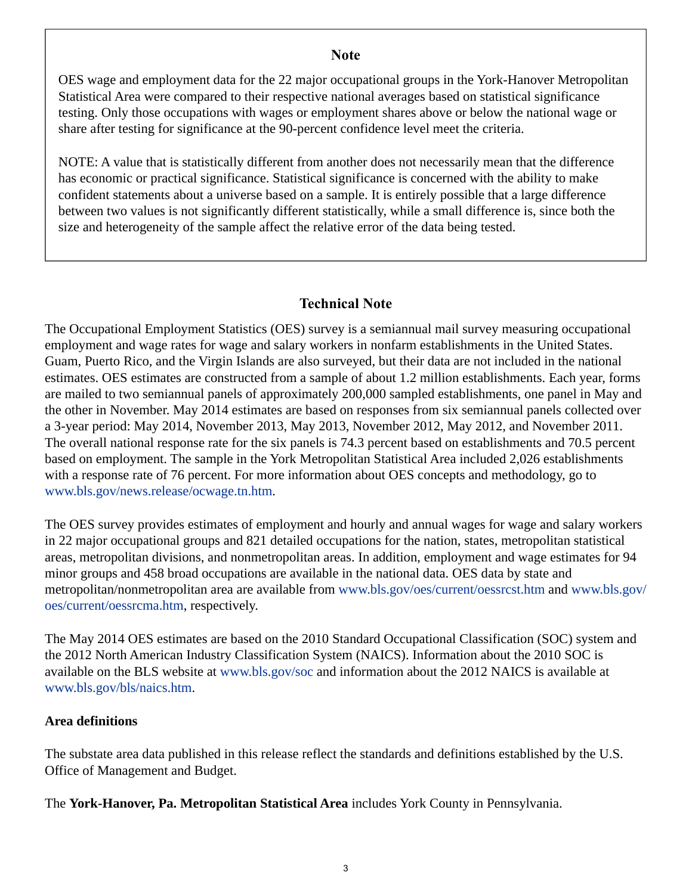## **Note**

OES wage and employment data for the 22 major occupational groups in the York-Hanover Metropolitan Statistical Area were compared to their respective national averages based on statistical significance testing. Only those occupations with wages or employment shares above or below the national wage or share after testing for significance at the 90-percent confidence level meet the criteria.

NOTE: A value that is statistically different from another does not necessarily mean that the difference has economic or practical significance. Statistical significance is concerned with the ability to make confident statements about a universe based on a sample. It is entirely possible that a large difference between two values is not significantly different statistically, while a small difference is, since both the size and heterogeneity of the sample affect the relative error of the data being tested.

## **Technical Note**

The Occupational Employment Statistics (OES) survey is a semiannual mail survey measuring occupational employment and wage rates for wage and salary workers in nonfarm establishments in the United States. Guam, Puerto Rico, and the Virgin Islands are also surveyed, but their data are not included in the national estimates. OES estimates are constructed from a sample of about 1.2 million establishments. Each year, forms are mailed to two semiannual panels of approximately 200,000 sampled establishments, one panel in May and the other in November. May 2014 estimates are based on responses from six semiannual panels collected over a 3-year period: May 2014, November 2013, May 2013, November 2012, May 2012, and November 2011. The overall national response rate for the six panels is 74.3 percent based on establishments and 70.5 percent based on employment. The sample in the York Metropolitan Statistical Area included 2,026 establishments with a response rate of 76 percent. For more information about OES concepts and methodology, go to [www.bls.gov/news.release/ocwage.tn.htm](https://www.bls.gov/news.release/ocwage.tn.htm).

The OES survey provides estimates of employment and hourly and annual wages for wage and salary workers in 22 major occupational groups and 821 detailed occupations for the nation, states, metropolitan statistical areas, metropolitan divisions, and nonmetropolitan areas. In addition, employment and wage estimates for 94 minor groups and 458 broad occupations are available in the national data. OES data by state and metropolitan/nonmetropolitan area are available from [www.bls.gov/oes/current/oessrcst.htm](https://www.bls.gov/oes/current/oessrcst.htm) and [www.bls.gov/](https://www.bls.gov/oes/current/oessrcma.htm) [oes/current/oessrcma.htm,](https://www.bls.gov/oes/current/oessrcma.htm) respectively.

The May 2014 OES estimates are based on the 2010 Standard Occupational Classification (SOC) system and the 2012 North American Industry Classification System (NAICS). Information about the 2010 SOC is available on the BLS website at [www.bls.gov/soc](https://www.bls.gov/soc) and information about the 2012 NAICS is available at [www.bls.gov/bls/naics.htm.](https://www.bls.gov/bls/naics.htm)

## **Area definitions**

The substate area data published in this release reflect the standards and definitions established by the U.S. Office of Management and Budget.

The **York-Hanover, Pa. Metropolitan Statistical Area** includes York County in Pennsylvania.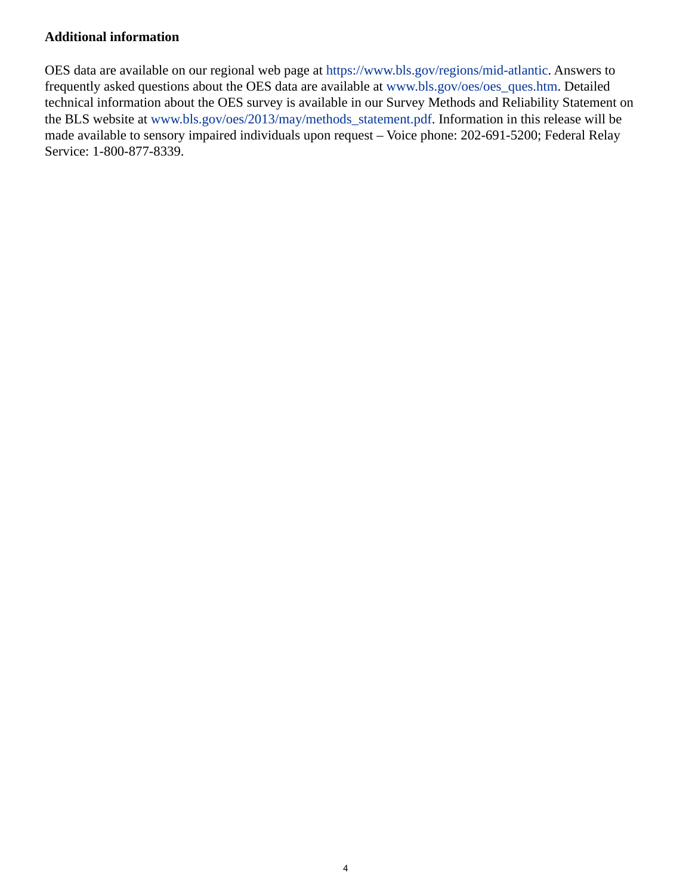## **Additional information**

OES data are available on our regional web page at <https://www.bls.gov/regions/mid-atlantic>. Answers to frequently asked questions about the OES data are available at [www.bls.gov/oes/oes\\_ques.htm](https://www.bls.gov/oes/oes_ques.htm). Detailed technical information about the OES survey is available in our Survey Methods and Reliability Statement on the BLS website at [www.bls.gov/oes/2013/may/methods\\_statement.pdf](https://www.bls.gov/oes/2013/may/methods_statement.pdf). Information in this release will be made available to sensory impaired individuals upon request – Voice phone: 202-691-5200; Federal Relay Service: 1-800-877-8339.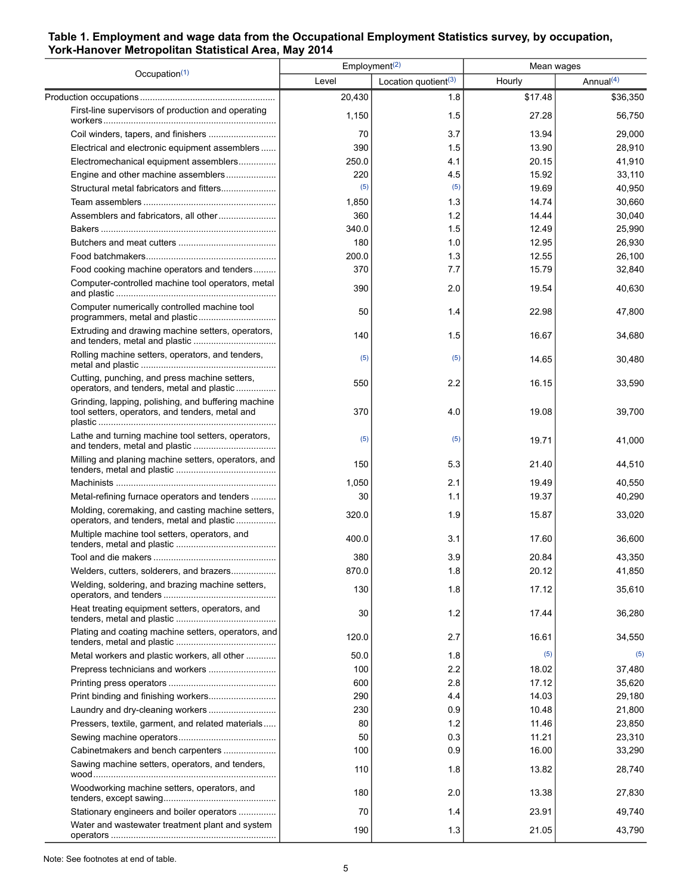## **Table 1. Employment and wage data from the Occupational Employment Statistics survey, by occupation, York-Hanover Metropolitan Statistical Area, May 2014**

|                                                                                                        | Employment <sup>(2)</sup> |                                  | Mean wages |              |  |
|--------------------------------------------------------------------------------------------------------|---------------------------|----------------------------------|------------|--------------|--|
| Occupation $(1)$                                                                                       | Level                     | Location quotient <sup>(3)</sup> | Hourly     | Annual $(4)$ |  |
|                                                                                                        | 20,430                    | 1.8                              | \$17.48    | \$36,350     |  |
| First-line supervisors of production and operating                                                     | 1,150                     | 1.5                              | 27.28      | 56,750       |  |
|                                                                                                        | 70                        | 3.7                              | 13.94      | 29.000       |  |
| Electrical and electronic equipment assemblers                                                         | 390                       | 1.5                              | 13.90      | 28,910       |  |
| Electromechanical equipment assemblers                                                                 | 250.0                     | 4.1                              | 20.15      | 41,910       |  |
| Engine and other machine assemblers                                                                    | 220                       | 45                               | 15.92      | 33,110       |  |
|                                                                                                        | (5)                       | (5)                              | 19.69      | 40,950       |  |
|                                                                                                        | 1,850                     | 1.3                              | 14.74      | 30,660       |  |
|                                                                                                        | 360                       | 1.2                              | 14.44      | 30,040       |  |
|                                                                                                        | 340.0                     | 1.5                              | 12.49      | 25,990       |  |
|                                                                                                        | 180                       | 1.0                              | 12.95      | 26,930       |  |
|                                                                                                        | 200.0                     | 1.3                              | 12.55      | 26,100       |  |
| Food cooking machine operators and tenders                                                             | 370                       | 7.7                              | 15.79      | 32,840       |  |
| Computer-controlled machine tool operators, metal                                                      | 390                       | 2.0                              | 19.54      | 40,630       |  |
| Computer numerically controlled machine tool                                                           | 50                        | 1.4                              | 22.98      | 47,800       |  |
| Extruding and drawing machine setters, operators,                                                      | 140                       | 1.5                              | 16.67      | 34,680       |  |
| Rolling machine setters, operators, and tenders,                                                       | (5)                       | (5)                              | 14.65      | 30,480       |  |
| Cutting, punching, and press machine setters,<br>operators, and tenders, metal and plastic             | 550                       | 2.2                              | 16.15      | 33,590       |  |
| Grinding, lapping, polishing, and buffering machine<br>tool setters, operators, and tenders, metal and | 370                       | 4.0                              | 19.08      | 39,700       |  |
| Lathe and turning machine tool setters, operators,                                                     | (5)                       | (5)                              | 19.71      | 41,000       |  |
| Milling and planing machine setters, operators, and                                                    | 150                       | 5.3                              | 21.40      | 44,510       |  |
|                                                                                                        | 1,050                     | 2.1                              | 19.49      | 40,550       |  |
| Metal-refining furnace operators and tenders                                                           | 30                        | 1.1                              | 19.37      | 40,290       |  |
| Molding, coremaking, and casting machine setters,<br>operators, and tenders, metal and plastic         | 320.0                     | 1.9                              | 15.87      | 33,020       |  |
| Multiple machine tool setters, operators, and                                                          | 400.0                     | 3.1                              | 17.60      | 36,600       |  |
|                                                                                                        | 380                       | 3.9                              | 20.84      | 43,350       |  |
| Welders, cutters, solderers, and brazers                                                               | 870.0                     | 1.8                              | 20.12      | 41,850       |  |
| Welding, soldering, and brazing machine setters,                                                       | 130                       | 1.8                              | 17.12      | 35,610       |  |
| Heat treating equipment setters, operators, and                                                        | 30                        | 1.2                              | 17.44      | 36,280       |  |
| Plating and coating machine setters, operators, and                                                    | 120.0                     | 2.7                              | 16.61      | 34,550       |  |
| Metal workers and plastic workers, all other                                                           | 50.0                      | 1.8                              | (5)        | (5)          |  |
|                                                                                                        | 100                       | 2.2                              | 18.02      | 37,480       |  |
|                                                                                                        | 600                       | 2.8                              | 17.12      | 35,620       |  |
|                                                                                                        | 290                       | 44                               | 14.03      | 29,180       |  |
|                                                                                                        | 230                       | 0.9                              | 10.48      | 21,800       |  |
| Pressers, textile, garment, and related materials                                                      | 80                        | 1.2                              | 11.46      | 23,850       |  |
|                                                                                                        | 50                        | 0.3                              | 11.21      | 23,310       |  |
| Cabinetmakers and bench carpenters                                                                     | 100                       | 0.9                              | 16.00      | 33,290       |  |
| Sawing machine setters, operators, and tenders,                                                        | 110                       | 1.8                              | 13.82      | 28,740       |  |
| Woodworking machine setters, operators, and                                                            | 180                       | 2.0                              | 13.38      | 27,830       |  |
| Stationary engineers and boiler operators                                                              | 70                        | 1.4                              | 23.91      | 49,740       |  |
| Water and wastewater treatment plant and system                                                        | 190                       | 1.3                              | 21.05      | 43,790       |  |